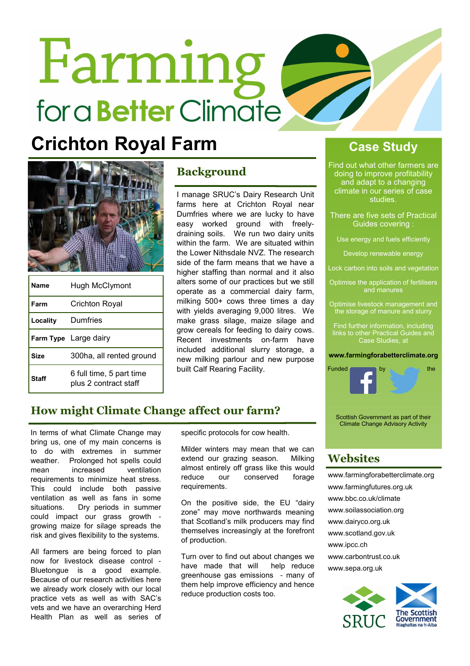# Farming for a **Better** Climate

# **Crichton Royal Farm Case Study**



| Name     | Hugh McClymont                                    |
|----------|---------------------------------------------------|
| Farm     | Crichton Royal                                    |
| Locality | Dumfries                                          |
|          | Farm Type Large dairy                             |
| Size     | 300ha, all rented ground                          |
| Staff    | 6 full time, 5 part time<br>plus 2 contract staff |

# Background

I manage SRUC's Dairy Research Unit farms here at Crichton Royal near Dumfries where we are lucky to have easy worked ground with freelydraining soils. We run two dairy units within the farm. We are situated within the Lower Nithsdale NVZ. The research side of the farm means that we have a higher staffing than normal and it also alters some of our practices but we still operate as a commercial dairy farm, milking 500+ cows three times a day with yields averaging 9,000 litres. We make grass silage, maize silage and grow cereals for feeding to dairy cows. Recent investments on-farm have included additional slurry storage, a new milking parlour and new purpose built Calf Rearing Facility.

Find out what other farmers are doing to improve profitability and adapt to a changing climate in our series of case studies.

There are five sets of Practical Guides covering :

Use energy and fuels efficiently

Develop renewable energy

Lock carbon into soils and vegetation

Optimise the application of fertilisers

Optimise livestock management and the storage of manure and slurry

Find further information, including links to other Practical Guides and Case Studies, at

### www.farmingforabetterclimate.org



# How might Climate Change affect our farm?

In terms of what Climate Change may bring us, one of my main concerns is to do with extremes in summer weather. Prolonged hot spells could mean increased ventilation requirements to minimize heat stress. This could include both passive ventilation as well as fans in some situations. Dry periods in summer could impact our grass growth growing maize for silage spreads the risk and gives flexibility to the systems.

All farmers are being forced to plan now for livestock disease control - Bluetongue is a good example. Because of our research activities here we already work closely with our local practice vets as well as with SAC's vets and we have an overarching Herd Health Plan as well as series of

specific protocols for cow health.

Milder winters may mean that we can extend our grazing season. Milking almost entirely off grass like this would reduce our conserved forage requirements.

On the positive side, the EU "dairy zone" may move northwards meaning that Scotland's milk producers may find themselves increasingly at the forefront of production.

Turn over to find out about changes we have made that will help reduce greenhouse gas emissions - many of them help improve efficiency and hence reduce production costs too.

Scottish Government as part of their Climate Change Advisory Activity

# **Websites**

www.farmingforabetterclimate.org www.farmingfutures.org.uk www.bbc.co.uk/climate www.soilassociation.org www.dairyco.org.uk www.scotland.gov.uk www.ipcc.ch www.carbontrust.co.uk www.sepa.org.uk